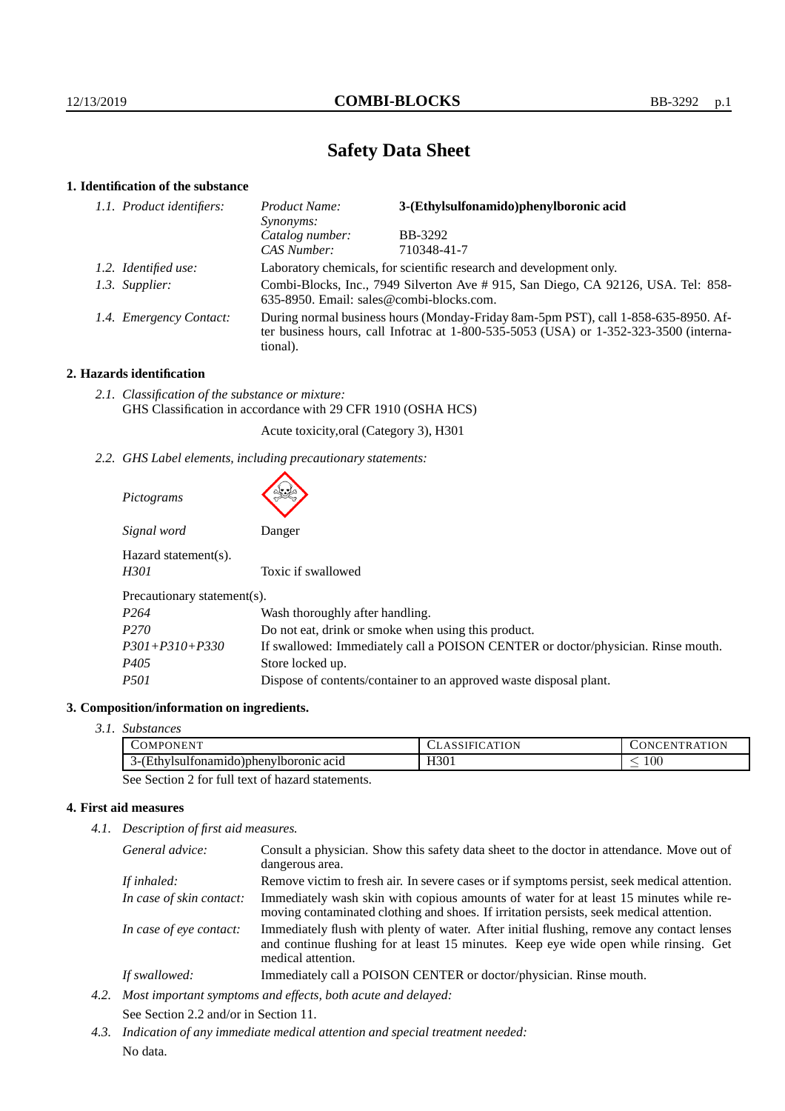# **Safety Data Sheet**

## **1. Identification of the substance**

| 1.1. Product identifiers: | Product Name:<br>Synonyms:                                                                                                                                                                  | 3-(Ethylsulfonamido)phenylboronic acid |  |
|---------------------------|---------------------------------------------------------------------------------------------------------------------------------------------------------------------------------------------|----------------------------------------|--|
|                           | Catalog number:                                                                                                                                                                             | BB-3292                                |  |
|                           | CAS Number:                                                                                                                                                                                 | 710348-41-7                            |  |
| 1.2. Identified use:      | Laboratory chemicals, for scientific research and development only.                                                                                                                         |                                        |  |
| 1.3. Supplier:            | Combi-Blocks, Inc., 7949 Silverton Ave # 915, San Diego, CA 92126, USA. Tel: 858-<br>635-8950. Email: sales@combi-blocks.com.                                                               |                                        |  |
| 1.4. Emergency Contact:   | During normal business hours (Monday-Friday 8am-5pm PST), call 1-858-635-8950. Af-<br>ter business hours, call Infotrac at $1-800-535-5053$ (USA) or $1-352-323-3500$ (interna-<br>tional). |                                        |  |

### **2. Hazards identification**

*2.1. Classification of the substance or mixture:* GHS Classification in accordance with 29 CFR 1910 (OSHA HCS)

Acute toxicity,oral (Category 3), H301

*2.2. GHS Label elements, including precautionary statements:*

| Pictograms                   |                                                                                  |
|------------------------------|----------------------------------------------------------------------------------|
| Signal word                  | Danger                                                                           |
| Hazard statement(s).<br>H301 | Toxic if swallowed                                                               |
| Precautionary statement(s).  |                                                                                  |
| P <sub>264</sub>             | Wash thoroughly after handling.                                                  |
| P <sub>270</sub>             | Do not eat, drink or smoke when using this product.                              |
| $P301 + P310 + P330$         | If swallowed: Immediately call a POISON CENTER or doctor/physician. Rinse mouth. |
| P405                         | Store locked up.                                                                 |
| <i>P501</i>                  | Dispose of contents/container to an approved waste disposal plant.               |

### **3. Composition/information on ingredients.**

*3.1. Substances*

| ,,,,,,,,<br>COMPONENT                                        | ATION<br>۹۰۰ بالتالادىن | <b>TRATION</b><br>$\cup$ ONCEN |
|--------------------------------------------------------------|-------------------------|--------------------------------|
| 'Iboronic acid<br>∠isultonamıde<br>o Inheny<br>┒–Ⅰ<br>-      | TTOM1<br>H301           | $100\,$<br>_                   |
| $\sim$<br>$\sim$ $\sim$<br>$\sim$<br>$\sim$<br>$\sim$ $\sim$ |                         |                                |

See Section 2 for full text of hazard statements.

### **4. First aid measures**

*4.1. Description of first aid measures.*

| General advice:          | Consult a physician. Show this safety data sheet to the doctor in attendance. Move out of<br>dangerous area.                                                                                            |
|--------------------------|---------------------------------------------------------------------------------------------------------------------------------------------------------------------------------------------------------|
| If inhaled:              | Remove victim to fresh air. In severe cases or if symptoms persist, seek medical attention.                                                                                                             |
| In case of skin contact: | Immediately wash skin with copious amounts of water for at least 15 minutes while re-<br>moving contaminated clothing and shoes. If irritation persists, seek medical attention.                        |
| In case of eye contact:  | Immediately flush with plenty of water. After initial flushing, remove any contact lenses<br>and continue flushing for at least 15 minutes. Keep eye wide open while rinsing. Get<br>medical attention. |
| If swallowed:            | Immediately call a POISON CENTER or doctor/physician. Rinse mouth.                                                                                                                                      |

- *4.2. Most important symptoms and effects, both acute and delayed:* See Section 2.2 and/or in Section 11.
- *4.3. Indication of any immediate medical attention and special treatment needed:* No data.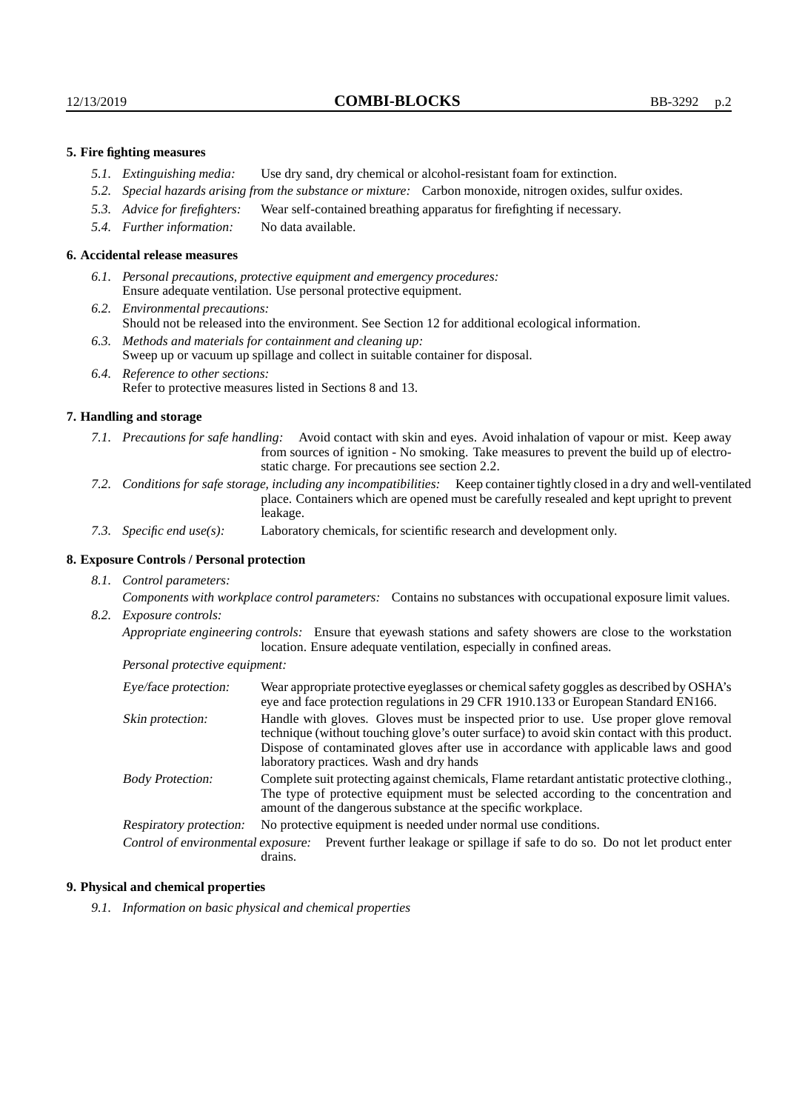#### **5. Fire fighting measures**

- *5.1. Extinguishing media:* Use dry sand, dry chemical or alcohol-resistant foam for extinction.
- *5.2. Special hazards arising from the substance or mixture:* Carbon monoxide, nitrogen oxides, sulfur oxides.
- *5.3. Advice for firefighters:* Wear self-contained breathing apparatus for firefighting if necessary.
- *5.4. Further information:* No data available.

#### **6. Accidental release measures**

- *6.1. Personal precautions, protective equipment and emergency procedures:* Ensure adequate ventilation. Use personal protective equipment.
- *6.2. Environmental precautions:* Should not be released into the environment. See Section 12 for additional ecological information.
- *6.3. Methods and materials for containment and cleaning up:* Sweep up or vacuum up spillage and collect in suitable container for disposal.
- *6.4. Reference to other sections:* Refer to protective measures listed in Sections 8 and 13.

#### **7. Handling and storage**

- *7.1. Precautions for safe handling:* Avoid contact with skin and eyes. Avoid inhalation of vapour or mist. Keep away from sources of ignition - No smoking. Take measures to prevent the build up of electrostatic charge. For precautions see section 2.2.
- *7.2. Conditions for safe storage, including any incompatibilities:* Keep container tightly closed in a dry and well-ventilated place. Containers which are opened must be carefully resealed and kept upright to prevent leakage.
- *7.3. Specific end use(s):* Laboratory chemicals, for scientific research and development only.

### **8. Exposure Controls / Personal protection**

*8.1. Control parameters:*

*Components with workplace control parameters:* Contains no substances with occupational exposure limit values. *8.2. Exposure controls:*

*Appropriate engineering controls:* Ensure that eyewash stations and safety showers are close to the workstation location. Ensure adequate ventilation, especially in confined areas.

*Personal protective equipment:*

| Eye/face protection:    | Wear appropriate protective eyeglasses or chemical safety goggles as described by OSHA's<br>eye and face protection regulations in 29 CFR 1910.133 or European Standard EN166.                                                                                                                                         |  |  |
|-------------------------|------------------------------------------------------------------------------------------------------------------------------------------------------------------------------------------------------------------------------------------------------------------------------------------------------------------------|--|--|
| Skin protection:        | Handle with gloves. Gloves must be inspected prior to use. Use proper glove removal<br>technique (without touching glove's outer surface) to avoid skin contact with this product.<br>Dispose of contaminated gloves after use in accordance with applicable laws and good<br>laboratory practices. Wash and dry hands |  |  |
| <b>Body Protection:</b> | Complete suit protecting against chemicals, Flame retardant antistatic protective clothing.<br>The type of protective equipment must be selected according to the concentration and<br>amount of the dangerous substance at the specific workplace.                                                                    |  |  |
| Respiratory protection: | No protective equipment is needed under normal use conditions.                                                                                                                                                                                                                                                         |  |  |
|                         | Control of environmental exposure: Prevent further leakage or spillage if safe to do so. Do not let product enter<br>drains.                                                                                                                                                                                           |  |  |

#### **9. Physical and chemical properties**

*9.1. Information on basic physical and chemical properties*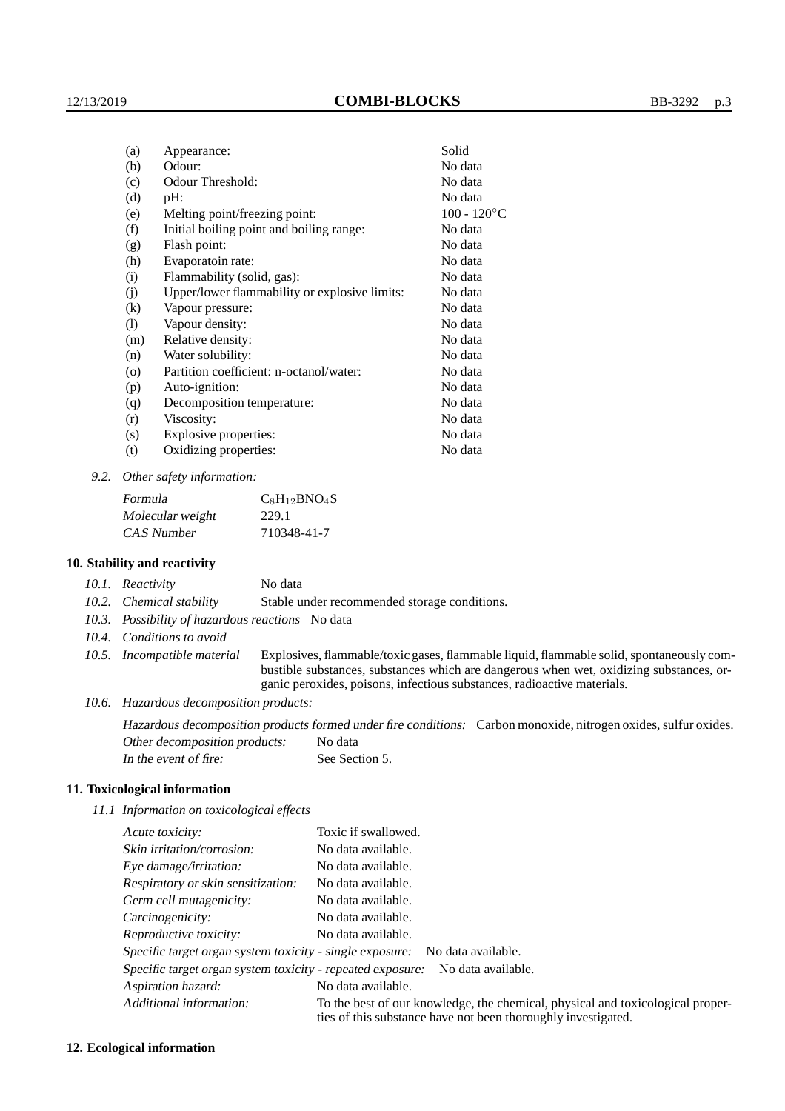| (a)     | Appearance:                                   | Solid          |
|---------|-----------------------------------------------|----------------|
| (b)     | Odour:                                        | No data        |
| (c)     | Odour Threshold:                              | No data        |
| (d)     | pH:                                           | No data        |
| (e)     | Melting point/freezing point:                 | $100 - 120$ °C |
| (f)     | Initial boiling point and boiling range:      | No data        |
| (g)     | Flash point:                                  | No data        |
| (h)     | Evaporatoin rate:                             | No data        |
| (i)     | Flammability (solid, gas):                    | No data        |
| (j)     | Upper/lower flammability or explosive limits: | No data        |
| (k)     | Vapour pressure:                              | No data        |
| (1)     | Vapour density:                               | No data        |
| (m)     | Relative density:                             | No data        |
| (n)     | Water solubility:                             | No data        |
| $\circ$ | Partition coefficient: n-octanol/water:       | No data        |
| (p)     | Auto-ignition:                                | No data        |
| (q)     | Decomposition temperature:                    | No data        |
| (r)     | Viscosity:                                    | No data        |
| (s)     | Explosive properties:                         | No data        |
| (t)     | Oxidizing properties:                         | No data        |
|         |                                               |                |

*9.2. Other safety information:*

| Formula          | $C_8H_{12}BNO_4S$ |
|------------------|-------------------|
| Molecular weight | 229.1             |
| CAS Number       | 710348-41-7       |

#### **10. Stability and reactivity**

| 10.1. Reactivity | No data |  |
|------------------|---------|--|
|                  |         |  |

- *10.2. Chemical stability* Stable under recommended storage conditions.
- *10.3. Possibility of hazardous reactions* No data
- *10.4. Conditions to avoid*
- *10.5. Incompatible material* Explosives, flammable/toxic gases, flammable liquid, flammable solid, spontaneously combustible substances, substances which are dangerous when wet, oxidizing substances, organic peroxides, poisons, infectious substances, radioactive materials.
- *10.6. Hazardous decomposition products:*

Hazardous decomposition products formed under fire conditions: Carbon monoxide, nitrogen oxides, sulfur oxides. Other decomposition products: No data In the event of fire: See Section 5.

#### **11. Toxicological information**

*11.1 Information on toxicological effects*

| Acute toxicity:                                            | Toxic if swallowed.                                                                                                                             |
|------------------------------------------------------------|-------------------------------------------------------------------------------------------------------------------------------------------------|
| Skin irritation/corrosion:                                 | No data available.                                                                                                                              |
| Eye damage/irritation:                                     | No data available.                                                                                                                              |
| Respiratory or skin sensitization:                         | No data available.                                                                                                                              |
| Germ cell mutagenicity:                                    | No data available.                                                                                                                              |
| Carcinogenicity:                                           | No data available.                                                                                                                              |
| Reproductive toxicity:                                     | No data available.                                                                                                                              |
| Specific target organ system toxicity - single exposure:   | No data available.                                                                                                                              |
| Specific target organ system toxicity - repeated exposure: | No data available.                                                                                                                              |
| Aspiration hazard:                                         | No data available.                                                                                                                              |
| Additional information:                                    | To the best of our knowledge, the chemical, physical and toxicological proper-<br>ties of this substance have not been thoroughly investigated. |

#### **12. Ecological information**